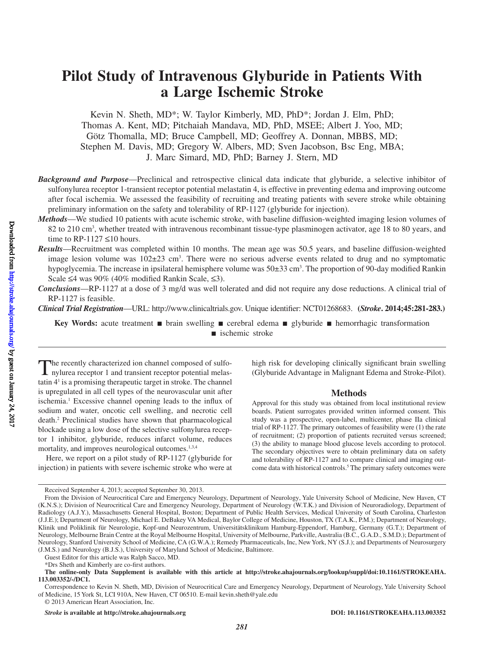# **Pilot Study of Intravenous Glyburide in Patients With a Large Ischemic Stroke**

Kevin N. Sheth, MD\*; W. Taylor Kimberly, MD, PhD\*; Jordan J. Elm, PhD; Thomas A. Kent, MD; Pitchaiah Mandava, MD, PhD, MSEE; Albert J. Yoo, MD; Götz Thomalla, MD; Bruce Campbell, MD; Geoffrey A. Donnan, MBBS, MD; Stephen M. Davis, MD; Gregory W. Albers, MD; Sven Jacobson, Bsc Eng, MBA; J. Marc Simard, MD, PhD; Barney J. Stern, MD

- *Background and Purpose*—Preclinical and retrospective clinical data indicate that glyburide, a selective inhibitor of sulfonylurea receptor 1-transient receptor potential melastatin 4, is effective in preventing edema and improving outcome after focal ischemia. We assessed the feasibility of recruiting and treating patients with severe stroke while obtaining preliminary information on the safety and tolerability of RP-1127 (glyburide for injection).
- *Methods*—We studied 10 patients with acute ischemic stroke, with baseline diffusion-weighted imaging lesion volumes of 82 to 210 cm3 , whether treated with intravenous recombinant tissue-type plasminogen activator, age 18 to 80 years, and time to RP-1127  $\leq 10$  hours.
- *Results*—Recruitment was completed within 10 months. The mean age was 50.5 years, and baseline diffusion-weighted image lesion volume was  $102\pm23$  cm<sup>3</sup>. There were no serious adverse events related to drug and no symptomatic hypoglycemia. The increase in ipsilateral hemisphere volume was  $50\pm33$  cm<sup>3</sup>. The proportion of 90-day modified Rankin Scale ≤4 was 90% (40% modified Rankin Scale, ≤3).
- *Conclusions*—RP-1127 at a dose of 3 mg/d was well tolerated and did not require any dose reductions. A clinical trial of RP-1127 is feasible.

*Clinical Trial Registration*—URL: [http://www.clinicaltrials.gov.](http://www.clinicaltrials.gov) Unique identifier: NCT01268683. **(***Stroke***. 2014;45:281-283.)**

**Key Words:** acute treatment ■ brain swelling ■ cerebral edema ■ glyburide ■ hemorrhagic transformation ■ ischemic stroke

The recently characterized ion channel composed of sulfo-<br>nylurea receptor 1 and transient receptor potential melastatin 41 is a promising therapeutic target in stroke. The channel is upregulated in all cell types of the neurovascular unit after ischemia.<sup>1</sup> Excessive channel opening leads to the influx of sodium and water, oncotic cell swelling, and necrotic cell death.2 Preclinical studies have shown that pharmacological blockade using a low dose of the selective sulfonylurea receptor 1 inhibitor, glyburide, reduces infarct volume, reduces mortality, and improves neurological outcomes.<sup>1,3,4</sup>

Here, we report on a pilot study of RP-1127 (glyburide for injection) in patients with severe ischemic stroke who were at high risk for developing clinically significant brain swelling (Glyburide Advantage in Malignant Edema and Stroke-Pilot).

#### **Methods**

Approval for this study was obtained from local institutional review boards. Patient surrogates provided written informed consent. This study was a prospective, open-label, multicenter, phase IIa clinical trial of RP-1127. The primary outcomes of feasibility were (1) the rate of recruitment; (2) proportion of patients recruited versus screened; (3) the ability to manage blood glucose levels according to protocol. The secondary objectives were to obtain preliminary data on safety and tolerability of RP-1127 and to compare clinical and imaging outcome data with historical controls.<sup>5</sup> The primary safety outcomes were

© 2013 American Heart Association, Inc.

*Stroke* **is available at http://stroke.ahajournals.org DOI: 10.1161/STROKEAHA.113.003352**

Received September 4, 2013; accepted September 30, 2013.

From the Division of Neurocritical Care and Emergency Neurology, Department of Neurology, Yale University School of Medicine, New Haven, CT (K.N.S.); Division of Neurocritical Care and Emergency Neurology, Department of Neurology (W.T.K.) and Division of Neuroradiology, Department of Radiology (A.J.Y.), Massachusetts General Hospital, Boston; Department of Public Health Services, Medical University of South Carolina, Charleston (J.J.E.); Department of Neurology, Michael E. DeBakey VA Medical, Baylor College of Medicine, Houston, TX (T.A.K., P.M.); Department of Neurology, Klinik und Poliklinik für Neurologie, Kopf-und Neurozentrum, Universitätsklinikum Hamburg-Eppendorf, Hamburg, Germany (G.T.); Department of Neurology, Melbourne Brain Centre at the Royal Melbourne Hospital, University of Melbourne, Parkville, Australia (B.C., G.A.D., S.M.D.); Department of Neurology, Stanford University School of Medicine, CA (G.W.A.); Remedy Pharmaceuticals, Inc, New York, NY (S.J.); and Departments of Neurosurgery (J.M.S.) and Neurology (B.J.S.), University of Maryland School of Medicine, Baltimore.

Guest Editor for this article was Ralph Sacco, MD.

<sup>\*</sup>Drs Sheth and Kimberly are co-first authors.

**The online-only Data Supplement is available with this article at [http://stroke.ahajournals.org/lookup/suppl/doi:10.1161/STROKEAHA.](http://stroke.ahajournals.org/lookup/suppl/doi:10.1161/STROKEAHA.113.003352/-/DC1) [113.003352/-/DC1.](http://stroke.ahajournals.org/lookup/suppl/doi:10.1161/STROKEAHA.113.003352/-/DC1)**

Correspondence to Kevin N. Sheth, MD, Division of Neurocritical Care and Emergency Neurology, Department of Neurology, Yale University School of Medicine, 15 York St, LCI 910A, New Haven, CT 06510. E-mail [kevin.sheth@yale.edu](mailto:kevin.sheth@yale.edu)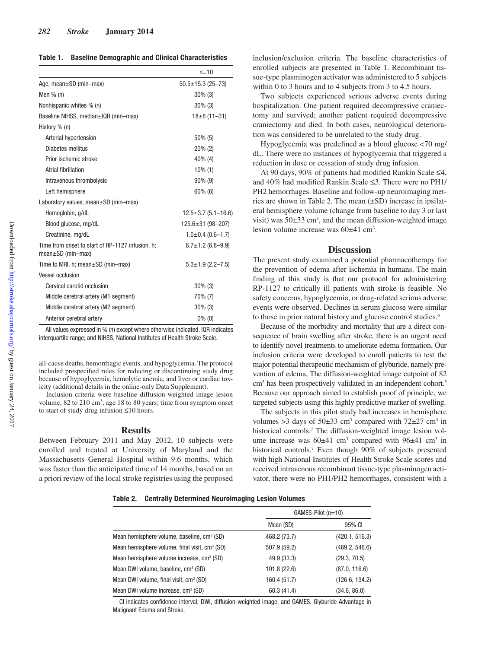|                                                                             | $n = 10$                  |  |
|-----------------------------------------------------------------------------|---------------------------|--|
| Age, mean $\pm$ SD (min-max)                                                | $50.5 \pm 15.3$ (25-73)   |  |
| Men $%$ (n)                                                                 | $30\%$ (3)                |  |
| Nonhispanic whites % (n)                                                    | $30\%$ (3)                |  |
| Baseline NIHSS, median±IQR (min-max)                                        | $18\pm8(11-31)$           |  |
| History % (n)                                                               |                           |  |
| Arterial hypertension                                                       | $50\%$ (5)                |  |
| Diabetes mellitus                                                           | $20\%$ (2)                |  |
| Prior ischemic stroke                                                       | 40% (4)                   |  |
| Atrial fibrillation                                                         | $10\%$ (1)                |  |
| Intravenous thrombolysis                                                    | 90% (9)                   |  |
| Left hemisphere                                                             | $60\%$ (6)                |  |
| Laboratory values, mean $\pm$ SD (min-max)                                  |                           |  |
| Hemoglobin, g/dL                                                            | $12.5 \pm 3.7$ (5.1-16.6) |  |
| Blood glucose, mg/dL                                                        | $125.6 \pm 31 (98 - 207)$ |  |
| Creatinine, mg/dL                                                           | $1.0\pm0.4(0.6-1.7)$      |  |
| Time from onset to start of RP-1127 infusion, h;<br>$mean \pm SD$ (min-max) | $8.7 \pm 1.2$ (6.8-9.9)   |  |
| Time to MRI, h; mean $\pm$ SD (min-max)                                     | $5.3 \pm 1.9$ (2.2-7.5)   |  |
| Vessel occlusion                                                            |                           |  |
| Cervical carotid occlusion                                                  | $30\%$ (3)                |  |
| Middle cerebral artery (M1 segment)                                         | 70% (7)                   |  |
| Middle cerebral artery (M2 segment)                                         | $30\%$ (3)                |  |
| Anterior cerebral artery                                                    | $0\%$ (0)                 |  |

All values expressed in % (n) except where otherwise indicated. IQR indicates interquartile range; and NIHSS, National Institutes of Health Stroke Scale.

all-cause deaths, hemorrhagic events, and hypoglycemia. The protocol included prespecified rules for reducing or discontinuing study drug because of hypoglycemia, hemolytic anemia, and liver or cardiac toxicity (additional details in the online-only Data Supplement).

Inclusion criteria were baseline diffusion-weighted image lesion volume, 82 to 210 cm<sup>3</sup>; age 18 to 80 years; time from symptom onset to start of study drug infusion ≤10 hours.

#### **Results**

Between February 2011 and May 2012, 10 subjects were enrolled and treated at University of Maryland and the Massachusetts General Hospital within 9.6 months, which was faster than the anticipated time of 14 months, based on an a priori review of the local stroke registries using the proposed

inclusion/exclusion criteria. The baseline characteristics of enrolled subjects are presented in Table 1. Recombinant tissue-type plasminogen activator was administered to 5 subjects within 0 to 3 hours and to 4 subjects from 3 to 4.5 hours.

Two subjects experienced serious adverse events during hospitalization. One patient required decompressive craniectomy and survived; another patient required decompressive craniectomy and died. In both cases, neurological deterioration was considered to be unrelated to the study drug.

Hypoglycemia was predefined as a blood glucose <70 mg/ dL. There were no instances of hypoglycemia that triggered a reduction in dose or cessation of study drug infusion.

At 90 days, 90% of patients had modified Rankin Scale ≤4, and 40% had modified Rankin Scale ≤3. There were no PH1/ PH2 hemorrhages. Baseline and follow-up neuroimaging metrics are shown in Table 2. The mean (±SD) increase in ipsilateral hemisphere volume (change from baseline to day 3 or last visit) was  $50\pm33$  cm<sup>3</sup>, and the mean diffusion-weighted image lesion volume increase was  $60\pm41$  cm<sup>3</sup>.

#### **Discussion**

The present study examined a potential pharmacotherapy for the prevention of edema after ischemia in humans. The main finding of this study is that our protocol for administering RP-1127 to critically ill patients with stroke is feasible. No safety concerns, hypoglycemia, or drug-related serious adverse events were observed. Declines in serum glucose were similar to those in prior natural history and glucose control studies.<sup>6</sup>

Because of the morbidity and mortality that are a direct consequence of brain swelling after stroke, there is an urgent need to identify novel treatments to ameliorate edema formation. Our inclusion criteria were developed to enroll patients to test the major potential therapeutic mechanism of glyburide, namely prevention of edema. The diffusion-weighted image cutpoint of 82 cm<sup>3</sup> has been prospectively validated in an independent cohort.<sup>5</sup> Because our approach aimed to establish proof of principle, we targeted subjects using this highly predictive marker of swelling.

The subjects in this pilot study had increases in hemisphere volumes  $>3$  days of  $50\pm33$  cm<sup>3</sup> compared with  $72\pm27$  cm<sup>3</sup> in historical controls.<sup>7</sup> The diffusion-weighted image lesion volume increase was  $60\pm41$  cm<sup>3</sup> compared with  $96\pm41$  cm<sup>3</sup> in historical controls.7 Even though 90% of subjects presented with high National Institutes of Health Stroke Scale scores and received intravenous recombinant tissue-type plasminogen activator, there were no PH1/PH2 hemorrhages, consistent with a

**Table 2. Centrally Determined Neuroimaging Lesion Volumes**

|                                                           | $GAMES-Pilot (n=10)$ |                |
|-----------------------------------------------------------|----------------------|----------------|
|                                                           | Mean (SD)            | 95% CI         |
| Mean hemisphere volume, baseline, cm <sup>3</sup> (SD)    | 468.2 (73.7)         | (420.1, 516.3) |
| Mean hemisphere volume, final visit, cm <sup>3</sup> (SD) | 507.9 (59.2)         | (469.2, 546.6) |
| Mean hemisphere volume increase, cm <sup>3</sup> (SD)     | 49.9 (33.3)          | (29.3, 70.5)   |
| Mean DWI volume, baseline, cm <sup>3</sup> (SD)           | 101.8 (22.6)         | (87.0, 116.6)  |
| Mean DWI volume, final visit, cm <sup>3</sup> (SD)        | 160.4 (51.7)         | (126.6, 194.2) |
| Mean DWI volume increase, cm <sup>3</sup> (SD)            | 60.3 (41.4)          | (34.6, 86.0)   |

CI indicates confidence interval; DWI, diffusion-weighted image; and GAMES, Glyburide Advantage in Malignant Edema and Stroke.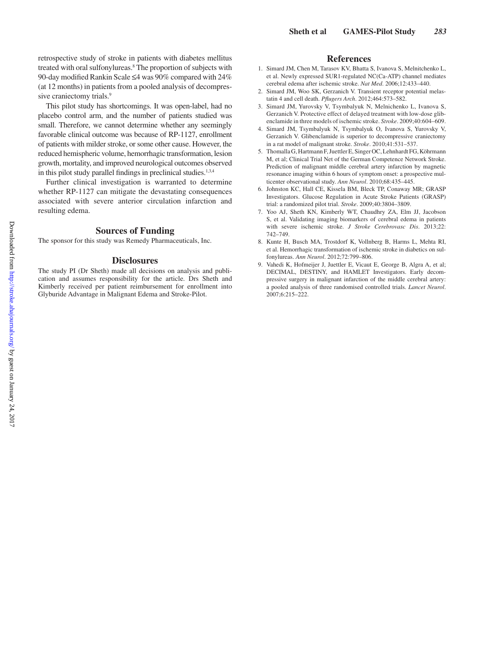retrospective study of stroke in patients with diabetes mellitus treated with oral sulfonylureas.8 The proportion of subjects with 90-day modified Rankin Scale ≤4 was 90% compared with 24% (at 12 months) in patients from a pooled analysis of decompressive craniectomy trials.<sup>9</sup>

This pilot study has shortcomings. It was open-label, had no placebo control arm, and the number of patients studied was small. Therefore, we cannot determine whether any seemingly favorable clinical outcome was because of RP-1127, enrollment of patients with milder stroke, or some other cause. However, the reduced hemispheric volume, hemorrhagic transformation, lesion growth, mortality, and improved neurological outcomes observed in this pilot study parallel findings in preclinical studies. $1,3,4$ 

Further clinical investigation is warranted to determine whether RP-1127 can mitigate the devastating consequences associated with severe anterior circulation infarction and resulting edema.

#### **Sources of Funding**

The sponsor for this study was Remedy Pharmaceuticals, Inc.

#### **Disclosures**

The study PI (Dr Sheth) made all decisions on analysis and publication and assumes responsibility for the article. Drs Sheth and Kimberly received per patient reimbursement for enrollment into Glyburide Advantage in Malignant Edema and Stroke-Pilot.

## **References**

- 1. Simard JM, Chen M, Tarasov KV, Bhatta S, Ivanova S, Melnitchenko L, et al. Newly expressed SUR1-regulated NC(Ca-ATP) channel mediates cerebral edema after ischemic stroke. *Nat Med*. 2006;12:433–440.
- 2. Simard JM, Woo SK, Gerzanich V. Transient receptor potential melastatin 4 and cell death. *Pflugers Arch*. 2012;464:573–582.
- 3. Simard JM, Yurovsky V, Tsymbalyuk N, Melnichenko L, Ivanova S, Gerzanich V. Protective effect of delayed treatment with low-dose glibenclamide in three models of ischemic stroke. *Stroke*. 2009;40:604–609.
- 4. Simard JM, Tsymbalyuk N, Tsymbalyuk O, Ivanova S, Yurovsky V, Gerzanich V. Glibenclamide is superior to decompressive craniectomy in a rat model of malignant stroke. *Stroke*. 2010;41:531–537.
- 5. Thomalla G, Hartmann F, Juettler E, Singer OC, Lehnhardt FG, Köhrmann M, et al; Clinical Trial Net of the German Competence Network Stroke. Prediction of malignant middle cerebral artery infarction by magnetic resonance imaging within 6 hours of symptom onset: a prospective multicenter observational study. *Ann Neurol*. 2010;68:435–445.
- 6. Johnston KC, Hall CE, Kissela BM, Bleck TP, Conaway MR; GRASP Investigators. Glucose Regulation in Acute Stroke Patients (GRASP) trial: a randomized pilot trial. *Stroke*. 2009;40:3804–3809.
- 7. Yoo AJ, Sheth KN, Kimberly WT, Chaudhry ZA, Elm JJ, Jacobson S, et al. Validating imaging biomarkers of cerebral edema in patients with severe ischemic stroke. *J Stroke Cerebrovasc Dis*. 2013;22: 742–749.
- 8. Kunte H, Busch MA, Trostdorf K, Vollnberg B, Harms L, Mehta RI, et al. Hemorrhagic transformation of ischemic stroke in diabetics on sulfonylureas. *Ann Neurol*. 2012;72:799–806.
- 9. Vahedi K, Hofmeijer J, Juettler E, Vicaut E, George B, Algra A, et al; DECIMAL, DESTINY, and HAMLET Investigators. Early decompressive surgery in malignant infarction of the middle cerebral artery: a pooled analysis of three randomised controlled trials. *Lancet Neurol*. 2007;6:215–222.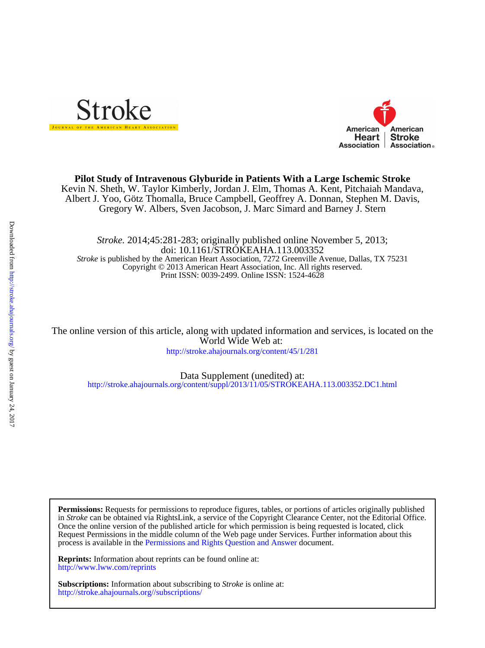



## **Pilot Study of Intravenous Glyburide in Patients With a Large Ischemic Stroke**

Gregory W. Albers, Sven Jacobson, J. Marc Simard and Barney J. Stern Albert J. Yoo, Götz Thomalla, Bruce Campbell, Geoffrey A. Donnan, Stephen M. Davis, Kevin N. Sheth, W. Taylor Kimberly, Jordan J. Elm, Thomas A. Kent, Pitchaiah Mandava,

Print ISSN: 0039-2499. Online ISSN: 1524-4628 Copyright © 2013 American Heart Association, Inc. All rights reserved. *Stroke* is published by the American Heart Association, 7272 Greenville Avenue, Dallas, TX 75231 doi: 10.1161/STROKEAHA.113.003352 *Stroke.* 2014;45:281-283; originally published online November 5, 2013;

<http://stroke.ahajournals.org/content/45/1/281> World Wide Web at: The online version of this article, along with updated information and services, is located on the

<http://stroke.ahajournals.org/content/suppl/2013/11/05/STROKEAHA.113.003352.DC1.html> Data Supplement (unedited) at:

process is available in the [Permissions and Rights Question and Answer d](http://www.ahajournals.org/site/rights/)ocument. Request Permissions in the middle column of the Web page under Services. Further information about this Once the online version of the published article for which permission is being requested is located, click in *Stroke* can be obtained via RightsLink, a service of the Copyright Clearance Center, not the Editorial Office. **Permissions:** Requests for permissions to reproduce figures, tables, or portions of articles originally published

<http://www.lww.com/reprints> **Reprints:** Information about reprints can be found online at:

<http://stroke.ahajournals.org//subscriptions/> **Subscriptions:** Information about subscribing to *Stroke* is online at: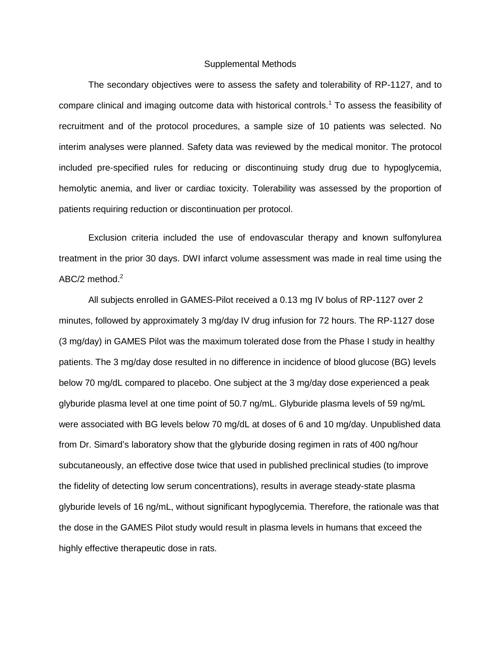#### Supplemental Methods

The secondary objectives were to assess the safety and tolerability of RP-1127, and to compare clinical and imaging outcome data with historical controls.<sup>1</sup> To assess the feasibility of recruitment and of the protocol procedures, a sample size of 10 patients was selected. No interim analyses were planned. Safety data was reviewed by the medical monitor. The protocol included pre-specified rules for reducing or discontinuing study drug due to hypoglycemia, hemolytic anemia, and liver or cardiac toxicity. Tolerability was assessed by the proportion of patients requiring reduction or discontinuation per protocol.

Exclusion criteria included the use of endovascular therapy and known sulfonylurea treatment in the prior 30 days. DWI infarct volume assessment was made in real time using the ABC/2 method.<sup>2</sup>

All subjects enrolled in GAMES-Pilot received a 0.13 mg IV bolus of RP-1127 over 2 minutes, followed by approximately 3 mg/day IV drug infusion for 72 hours. The RP-1127 dose (3 mg/day) in GAMES Pilot was the maximum tolerated dose from the Phase I study in healthy patients. The 3 mg/day dose resulted in no difference in incidence of blood glucose (BG) levels below 70 mg/dL compared to placebo. One subject at the 3 mg/day dose experienced a peak glyburide plasma level at one time point of 50.7 ng/mL. Glyburide plasma levels of 59 ng/mL were associated with BG levels below 70 mg/dL at doses of 6 and 10 mg/day. Unpublished data from Dr. Simard's laboratory show that the glyburide dosing regimen in rats of 400 ng/hour subcutaneously, an effective dose twice that used in published preclinical studies (to improve the fidelity of detecting low serum concentrations), results in average steady-state plasma glyburide levels of 16 ng/mL, without significant hypoglycemia. Therefore, the rationale was that the dose in the GAMES Pilot study would result in plasma levels in humans that exceed the highly effective therapeutic dose in rats.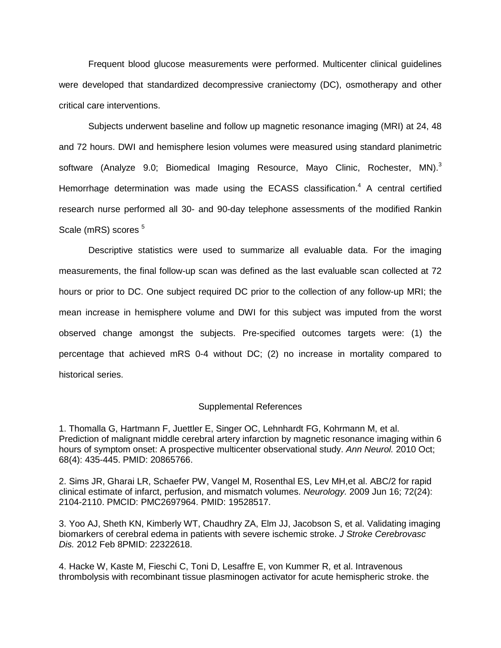Frequent blood glucose measurements were performed. Multicenter clinical guidelines were developed that standardized decompressive craniectomy (DC), osmotherapy and other critical care interventions.

Subjects underwent baseline and follow up magnetic resonance imaging (MRI) at 24, 48 and 72 hours. DWI and hemisphere lesion volumes were measured using standard planimetric software (Analyze 9.0; Biomedical Imaging Resource, Mayo Clinic, Rochester, MN).<sup>3</sup> Hemorrhage determination was made using the ECASS classification.<sup>4</sup> A central certified research nurse performed all 30- and 90-day telephone assessments of the modified Rankin Scale (mRS) scores <sup>5</sup>

Descriptive statistics were used to summarize all evaluable data. For the imaging measurements, the final follow-up scan was defined as the last evaluable scan collected at 72 hours or prior to DC. One subject required DC prior to the collection of any follow-up MRI; the mean increase in hemisphere volume and DWI for this subject was imputed from the worst observed change amongst the subjects. Pre-specified outcomes targets were: (1) the percentage that achieved mRS 0-4 without DC; (2) no increase in mortality compared to historical series.

# Supplemental References

1. Thomalla G, Hartmann F, Juettler E, Singer OC, Lehnhardt FG, Kohrmann M, et al. Prediction of malignant middle cerebral artery infarction by magnetic resonance imaging within 6 hours of symptom onset: A prospective multicenter observational study. *Ann Neurol.* 2010 Oct; 68(4): 435-445. PMID: 20865766.

2. Sims JR, Gharai LR, Schaefer PW, Vangel M, Rosenthal ES, Lev MH,et al. ABC/2 for rapid clinical estimate of infarct, perfusion, and mismatch volumes. *Neurology.* 2009 Jun 16; 72(24): 2104-2110. PMCID: PMC2697964. PMID: 19528517.

3. Yoo AJ, Sheth KN, Kimberly WT, Chaudhry ZA, Elm JJ, Jacobson S, et al. Validating imaging biomarkers of cerebral edema in patients with severe ischemic stroke. *J Stroke Cerebrovasc Dis.* 2012 Feb 8PMID: 22322618.

4. Hacke W, Kaste M, Fieschi C, Toni D, Lesaffre E, von Kummer R, et al. Intravenous thrombolysis with recombinant tissue plasminogen activator for acute hemispheric stroke. the